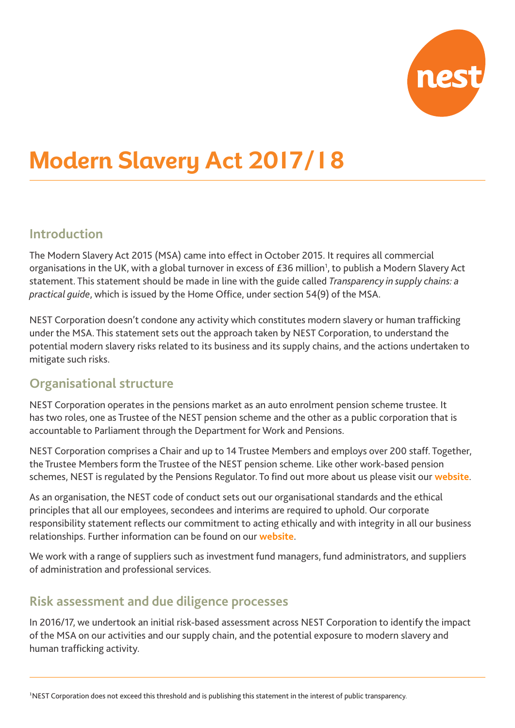

# **Modern Slavery Act 2017/18**

## **Introduction**

The Modern Slavery Act 2015 (MSA) came into effect in October 2015. It requires all commercial organisations in the UK, with a global turnover in excess of £36 million<sup>1</sup>, to publish a Modern Slavery Act statement. This statement should be made in line with the guide called *Transparency in supply chains: a practical guide*, which is issued by the Home Office, under section 54(9) of the MSA.

NEST Corporation doesn't condone any activity which constitutes modern slavery or human trafficking under the MSA. This statement sets out the approach taken by NEST Corporation, to understand the potential modern slavery risks related to its business and its supply chains, and the actions undertaken to mitigate such risks.

## **Organisational structure**

NEST Corporation operates in the pensions market as an auto enrolment pension scheme trustee. It has two roles, one as Trustee of the NEST pension scheme and the other as a public corporation that is accountable to Parliament through the Department for Work and Pensions.

NEST Corporation comprises a Chair and up to 14 Trustee Members and employs over 200 staff. Together, the Trustee Members form the Trustee of the NEST pension scheme. Like other work-based pension schemes, NEST is regulated by the Pensions Regulator. To find out more about us please visit our **website**.

As an organisation, the NEST code of conduct sets out our organisational standards and the ethical principles that all our employees, secondees and interims are required to uphold. Our corporate responsibility statement reflects our commitment to acting ethically and with integrity in all our business relationships. Further information can be found on our **website**.

We work with a range of suppliers such as investment fund managers, fund administrators, and suppliers of administration and professional services.

# **Risk assessment and due diligence processes**

In 2016/17, we undertook an initial risk-based assessment across NEST Corporation to identify the impact of the MSA on our activities and our supply chain, and the potential exposure to modern slavery and human trafficking activity.